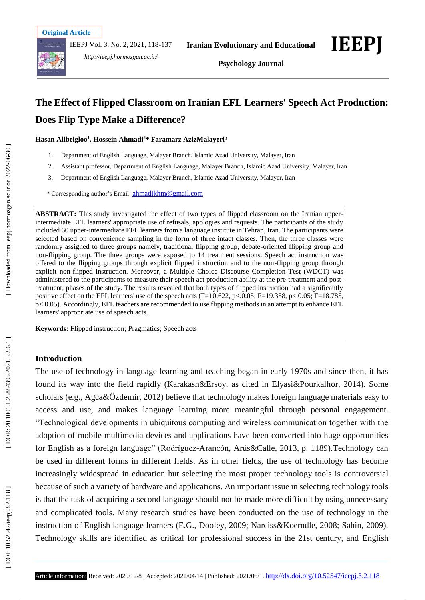IEEPJ Vol. 3, No. 2, 2021, 118 -137



*http://ieepj.hormozgan.ac.ir/*



## **The Effect of Flipped Classroom on Iranian EFL Learners' Speech Act Production: Does Flip Type Make a Difference?**

**Hasan Alibeigloo 1 , Hossein Ahmadi <sup>2</sup>\* Faramarz AzizMalayeri** 3

- 1 . Department of English Language, Malayer Branch, Islamic Azad University, Malayer, Iran
- 2 . Assistant professor, Department of English Language, Malayer Branch, Islamic Azad University, Malayer, Iran
- 3 . Department of English Language, Malayer Branch, Islamic Azad University, Malayer, Iran

\* Corresponding author's Email : [ahmadikhm@gmail.com](mailto:ahmadikhm@gmail.com)

**ABSTRACT:** This study investigated the effect of two types of flipped classroom on the Iranian upper intermediate EFL learners' appropriate use of refusals, apologies and requests. The participants of the study included 60 upper -intermediate EFL learners from a language institute in Tehran, Iran. The participants were selected based on convenience sampling in the form of three intact classes. Then, the three classes were randomly assigned to three groups namely, traditional flipping group, debate -oriented flipping group and non -flipping group. The three groups were exposed to 14 treatment sessions. Speech act instruction was offered to the flipping groups through explicit flipped instruction and to the non -flipping group through explicit non -flipped instruction. Moreover, a Multiple Choice Discourse Completion Test (WDCT) was administered to the participants to measure their speech act production ability at the pre -treatment and post treatment, phases of the study. The results revealed that both types of flipped instruction had a significantly positive effect on the EFL learners' use of the speech acts (F=10.622, p<.0.05; F=19.358, p<.0.05; F=18.785, p<.0.05). Accordingly, EFL teachers are recommended to use flipping methods in an attempt to enhance EFL learners' appropriate use of speech acts.

**Keywords:** Flipped instruction; Pragmatics; Speech acts

## **Introduction**

The use of technology in language learning and teaching began in early 1970s and since then, it has found its way into the field rapidly (Karakash&Ersoy, as cited in Elyasi&Pourkalhor, 2014). Some scholars (e.g., Agca&Özdemir, 2012) believe that technology makes foreign language materials easy to access and use, and makes language learning more meaningful through personal engagement. "Technological developments in ubiquitous computing and wireless communication together with the adoption of mobile multimedia devices and applications have been converted into huge opportunities for English as a foreign language" (Rodríguez -Arancón, Arús&Calle, 2013, p. 1189).Technology can be used in different forms in different fields. As in other fields, the use of technology has become increasingly widespread in education but selecting the most proper technology tools is controversial because of such a variety of hardware and applications. An important issue in selecting technology tools is that the task of acquiring a second language should not be made more difficult by using unnecessary and complicated tools. Many research studies have been conducted on the use of technology in the instruction of English language learners (E.G., Dooley, 2009; Narciss&Koerndle, 2008; Sahin, 2009). Technology skills are identified as critical for professional success in the 21st century, and English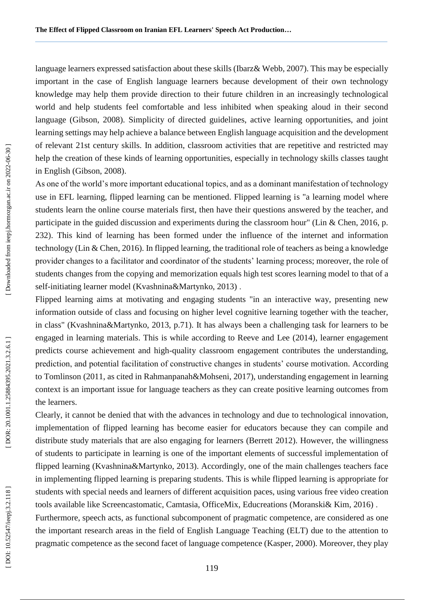language learners expressed satisfaction about these skills (Ibarz& Webb, 2007). This may be especially important in the case of English language learners because development of their own technology knowledge may help them provide direction to their future children in an increasingly technological world and help students feel comfortable and less inhibited when speaking aloud in their second language (Gibson, 2008). Simplicity of directed guidelines, active learning opportunities, and joint learning settings may help achieve a balance between English language acquisition and the development of relevant 21st century skills. In addition, classroom activities that are repetitive and restricted may help the creation of these kinds of learning opportunities, especially in technology skills classes taught in English (Gibson, 2008).

As one of the world's more important educational topics, and as a dominant manifestation of technology use in EFL learning, flipped learning can be mentioned. Flipped learning is "a learning model where students learn the online course materials first, then have their questions answered by the teacher, and participate in the guided discussion and experiments during the classroom hour" (Lin & Chen, 2016, p. 232). This kind of learning has been formed under the influence of the internet and information technology (Lin & Chen, 2016). In flipped learning, the traditional role of teachers as being a knowledge provider changes to a facilitator and coordinator of the students' learning process; moreover, the role of students changes from the copying and memorization equals high test scores learning model to that of a self-initiating learner model (Kvashnina&Martynko, 2013) .

Flipped learning aims at motivating and engaging students "in an interactive way, presenting new information outside of class and focusing on higher level cognitive learning together with the teacher, in class" (Kvashnina&Martynko, 2013, p.71). It has always been a challenging task for learners to be engaged in learning materials. This is while according to Reeve and Lee (2014), learner engagement predicts course achievement and high -quality classroom engagement contributes the understanding, prediction, and potential facilitation of constructive changes in students' course motivation. According to Tomlinson (2011, as cited in Rahmanpanah&Mohseni, 2017), understanding engagement in learning context is an important issue for language teachers as they can create positive learning outcomes from the learners.

Clearly, it cannot be denied that with the advances in technology and due to technological innovation, implementation of flipped learning has become easier for educators because they can compile and distribute study materials that are also engaging for learners (Berrett 2012). However, the willingness of students to participate in learning is one of the important elements of successful implementation of flipped learning (Kvashnina&Martynko, 2013). Accordingly, one of the main challenges teachers face in implementing flipped learning is preparing students. This is while flipped learning is appropriate for students with special needs and learners of different acquisition paces, using various free video creation tools available like Screencastomatic, Camtasia, OfficeMix, Educreations (Moranski& Kim, 2016) . Furthermore, speech acts, as functional subcomponent of pragmatic competence, are considered as one the important research areas in the field of English Language Teaching (ELT) due to the attention to pragmatic competence as the second facet of language competence (Kasper, 2000). Moreover, they play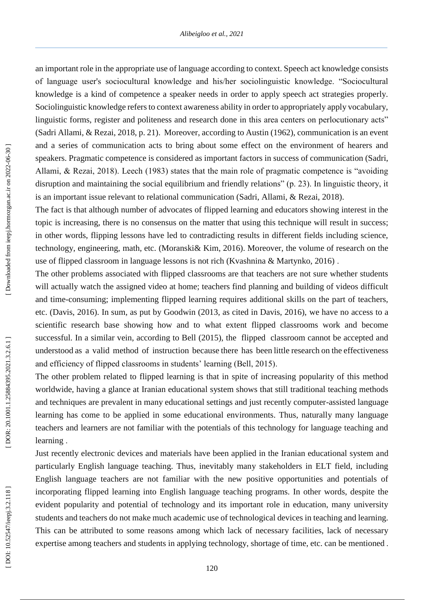an important role in the appropriate use of language according to context. Speech act knowledge consists of language user's sociocultural knowledge and his/her sociolinguistic knowledge. "Sociocultural knowledge is a kind of competence a speaker needs in order to apply speech act strategies properly. Sociolinguistic knowledge refers to context awareness ability in order to appropriately apply vocabulary, linguistic forms, register and politeness and research done in this area centers on perlocutionary acts" (Sadri Allami, & Rezai, 2018, p. 21). Moreover, according to Austin (1962), communication is an event and a series of communication acts to bring about some effect on the environment of hearers and speakers. Pragmatic competence is considered as important factors in success of communication (Sadri, Allami, & Rezai, 2018). Leech (1983) states that the main role of pragmatic competence is "avoiding disruption and maintaining the social equilibrium and friendly relations" (p. 23). In linguistic theory, it is an important issue relevant to relational communication (Sadri, Allami, & Rezai, 2018).

The fact is that although number of advocates of flipped learning and educators showing interest in the topic is increasing, there is no consensus on the matter that using this technique will result in success; in other words, flipping lessons have led to contradicting results in different fields including science, technology, engineering, math, etc. (Moranski& Kim, 2016). Moreover, the volume of research on the use of flipped classroom in language lessons is not rich (Kvashnina & Martynko, 2016) .

The other problems associated with flipped classrooms are that teachers are not sure whether students will actually watch the assigned video at home; teachers find planning and building of videos difficult and time -consuming; implementing flipped learning requires additional skills on the part of teachers, etc. (Davis, 2016). In sum, as put by Goodwin (2013, as cited in Davis, 2016), we have no access to a scientific research base showing how and to what extent flipped classrooms work and become successful. In a similar vein, according to Bell (2015), the flipped classroom cannot be accepted and understood as a valid method of instruction because there has been little research on the effectiveness and efficiency of flipped classrooms in students' learning (Bell, 2015) .

The other problem related to flipped learning is that in spite of increasing popularity of this method worldwide, having a glance at Iranian educational system shows that still traditional teaching methods and techniques are prevalent in many educational settings and just recently computer -assisted language learning has come to be applied in some educational environments. Thus, naturally many language teachers and learners are not familiar with the potentials of this technology for language teaching and learning .

Just recently electronic devices and materials have been applied in the Iranian educational system and particularly English language teaching. Thus, inevitably many stakeholders in ELT field, including English language teachers are not familiar with the new positive opportunities and potentials of incorporating flipped learning into English language teaching programs. In other words, despite the evident popularity and potential of technology and its important role in education, many university students and teachers do not make much academic use of technological devices in teaching and learning. This can be attributed to some reasons among which lack of necessary facilities, lack of necessary expertise among teachers and students in applying technology, shortage of time, etc. can be mentioned .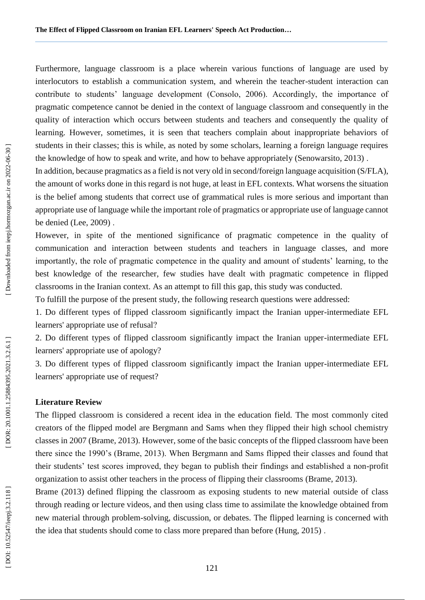Furthermore, language classroom is a place wherein various functions of language are used by interlocutors to establish a communication system, and wherein the teacher -student interaction can contribute to students' language development (Consolo, 2006). Accordingly, the importance of pragmatic competence cannot be denied in the context of language classroom and consequently in the quality of interaction which occurs between students and teachers and consequently the quality of learning. However, sometimes, it is seen that teachers complain about inappropriate behaviors of students in their classes; this is while, as noted by some scholars, learning a foreign language requires the knowledge of how to speak and write, and how to behave appropriately (Senowarsito, 2013) .

In addition, because pragmatics as a field is not very old in second/foreign language acquisition (S/FLA), the amount of works done in this regard is not huge, at least in EFL contexts. What worsens the situation is the belief among students that correct use of grammatical rules is more serious and important than appropriate use of language while the important role of pragmatics or appropriate use of language cannot be denied (Lee, 2009) .

However, in spite of the mentioned significance of pragmatic competence in the quality of communication and interaction between students and teachers in language classes, and more importantly, the role of pragmatic competence in the quality and amount of students' learning, to the best knowledge of the researcher, few studies have dealt with pragmatic competence in flipped classrooms in the Iranian context. As an attempt to fill this gap, this study was conducted.

To fulfill the purpose of the present study, the following research questions were addressed:

1. Do different types of flipped classroom significantly impact the Iranian upper -intermediate EFL learners' appropriate use of refusal ?

2. Do different types of flipped classroom significantly impact the Iranian upper -intermediate EFL learners' appropriate use of apology?

3. Do different types of flipped classroom significantly impact the Iranian upper -intermediate EFL learners' appropriate use of request?

## **Literature Review**

The flipped classroom is considered a recent idea in the education field. The most commonly cited creators of the flipped model are Bergmann and Sams when they flipped their high school chemistry classes in 2007 (Brame, 2013). However, some of the basic concepts of the flipped classroom have been there since the 1990's (Brame, 2013). When Bergmann and Sams flipped their classes and found that their students' test scores improved, they began to publish their findings and established a non -profit organization to assist other teachers in the process of flipping their classrooms (Brame, 2013).

Brame (2013) defined flipping the classroom as exposing students to new material outside of class through reading or lecture videos, and then using class time to assimilate the knowledge obtained from new material through problem -solving, discussion, or debates. The flipped learning is concerned with the idea that students should come to class more prepared than before (Hung, 2015) .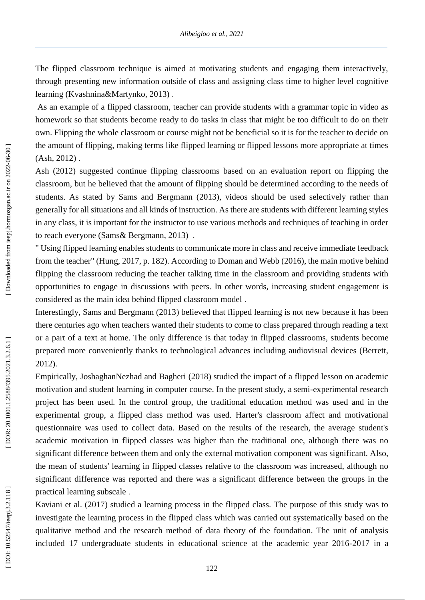The flipped classroom technique is aimed at motivating students and engaging them interactively, through presenting new information outside of class and assigning class time to higher level cognitive learning (Kvashnina&Martynko, 2013) .

As an example of a flipped classroom, teacher can provide students with a grammar topic in video as homework so that students become ready to do tasks in class that might be too difficult to do on their own. Flipping the whole classroom or course might not be beneficial so it is for the teacher to decide on the amount of flipping, making terms like flipped learning or flipped lessons more appropriate at times (Ash, 2012) .

Ash (2012) suggested continue flipping classrooms based on an evaluation report on flipping the classroom, but he believed that the amount of flipping should be determined according to the needs of students. As stated by Sams and Bergmann (2013), videos should be used selectively rather than generally for all situations and all kinds of instruction. As there are students with different learning styles in any class, it is important for the instructor to use various methods and techniques of teaching in order to reach everyone (Sams& Bergmann, 2013) .

" Using flipped learning enables students to communicate more in class and receive immediate feedback from the teacher" (Hung, 2017, p. 182). According to Doman and Webb (2016), the main motive behind flipping the classroom reducing the teacher talking time in the classroom and providing students with opportunities to engage in discussions with peers. In other words, increasing student engagement is considered as the main idea behind flipped classroom model .

Interestingly, Sams and Bergmann (2013) believed that flipped learning is not new because it has been there centuries ago when teachers wanted their students to come to class prepared through reading a text or a part of a text at home. The only difference is that today in flipped classrooms, students become prepared more conveniently thanks to technological advances including audiovisual devices (Berrett, 2012).

Empirically, JoshaghanNezhad and Bagheri (2018) studied the impact of a flipped lesson on academic motivation and student learning in computer course. In the present study, a semi-experimental research project has been used. In the control group, the traditional education method was used and in the experimental group, a flipped class method was used. Harter's classroom affect and motivational questionnaire was used to collect data. Based on the results of the research, the average student's academic motivation in flipped classes was higher than the traditional one, although there was no significant difference between them and only the external motivation component was significant. Also, the mean of students' learning in flipped classes relative to the classroom was increased, although no significant difference was reported and there was a significant difference between the groups in the practical learning subscale .

Kaviani et al. (2017) studied a learning process in the flipped class. The purpose of this study was to investigate the learning process in the flipped class which was carried out systematically based on the qualitative method and the research method of data theory of the foundation. The unit of analysis included 17 undergraduate students in educational science at the academic year 2016 -2017 in a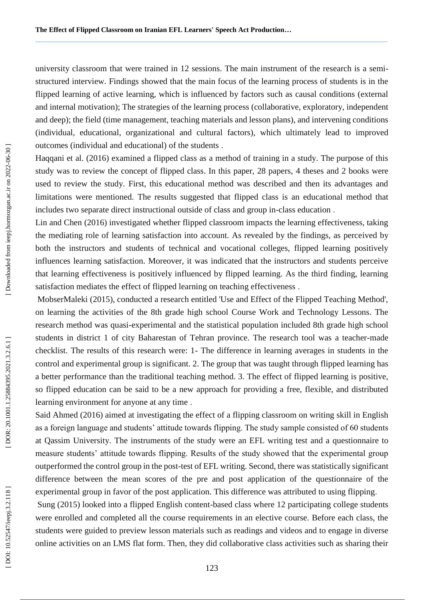university classroom that were trained in 12 sessions. The main instrument of the research is a semi structured interview. Findings showed that the main focus of the learning process of students is in the flipped learning of active learning, which is influenced by factors such as causal conditions (external and internal motivation); The strategies of the learning process (collaborative, exploratory, independent and deep); the field (time management, teaching materials and lesson plans), and intervening conditions (individual, educational, organizational and cultural factors), which ultimately lead to improved outcomes (individual and educational) of the students .

Haqqani et al. (2016) examined a flipped class as a method of training in a study. The purpose of this study was to review the concept of flipped class. In this paper, 28 papers, 4 theses and 2 books were used to review the study. First, this educational method was described and then its advantages and limitations were mentioned. The results suggested that flipped class is an educational method that includes two separate direct instructional outside of class and group in -class education .

Lin and Chen (2016) investigated whether flipped classroom impacts the learning effectiveness, taking the mediating role of learning satisfaction into account. As revealed by the findings, as perceived by both the instructors and students of technical and vocational colleges, flipped learning positively influences learning satisfaction. Moreover, it was indicated that the instructors and students perceive that learning effectiveness is positively influenced by flipped learning. As the third finding, learning satisfaction mediates the effect of flipped learning on teaching effectiveness .

MobserMaleki (2015), conducted a research entitled 'Use and Effect of the Flipped Teaching Method', on learning the activities of the 8th grade high school Course Work and Technology Lessons. The research method was quasi-experimental and the statistical population included 8th grade high school students in district 1 of city Baharestan of Tehran province. The research tool was a teacher -made checklist. The results of this research were: 1 - The difference in learning averages in students in the control and experimental group is significant. 2. The group that was taught through flipped learning has a better performance than the traditional teaching method. 3. The effect of flipped learning is positive, so flipped education can be said to be a new approach for providing a free, flexible, and distributed learning environment for anyone at any time .

Said Ahmed (2016) aimed at investigating the effect of a flipping classroom on writing skill in English as a foreign language and students' attitude towards flipping. The study sample consisted of 60 students at Qassim University. The instruments of the study were an EFL writing test and a questionnaire to measure students' attitude towards flipping. Results of the study showed that the experimental group outperformed the control group in the post -test of EFL writing. Second, there was statistically significant difference between the mean scores of the pre and post application of the questionnaire of the experimental group in favor of the post application. This difference was attributed to using flipping .

Sung (2015) looked into a flipped English content -based class where 12 participating college students were enrolled and completed all the course requirements in an elective course. Before each class, the students were guided to preview lesson materials such as readings and videos and to engage in diverse online activities on an LMS flat form. Then, they did collaborative class activities such as sharing their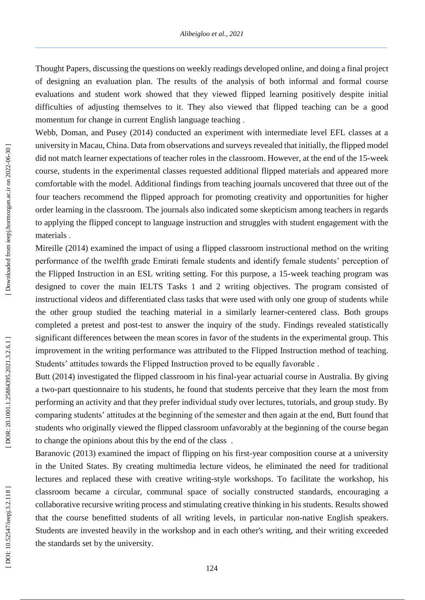Thought Papers, discussing the questions on weekly readings developed online, and doing a final project of designing an evaluation plan. The results of the analysis of both informal and formal course evaluations and student work showed that they viewed flipped learning positively despite initial difficulties of adjusting themselves to it. They also viewed that flipped teaching can be a good momentum for change in current English language teaching .

Webb, Doman, and Pusey (2014) conducted an experiment with intermediate level EFL classes at a university in Macau, China. Data from observations and surveys revealed that initially, the flipped model did not match learner expectations of teacher roles in the classroom. However, at the end of the 15 -week course, students in the experimental classes requested additional flipped materials and appeared more comfortable with the model. Additional findings from teaching journals uncovered that three out of the four teachers recommend the flipped approach for promoting creativity and opportunities for higher order learning in the classroom. The journals also indicated some skepticism among teachers in regards to applying the flipped concept to language instruction and struggles with student engagement with the materials .

Mireille (2014) examined the impact of using a flipped classroom instructional method on the writing performance of the twelfth grade Emirati female students and identify female students' perception of the Flipped Instruction in an ESL writing setting. For this purpose, a 15 -week teaching program was designed to cover the main IELTS Tasks 1 and 2 writing objectives. The program consisted of instructional videos and differentiated class tasks that were used with only one group of students while the other group studied the teaching material in a similarly learner -centered class. Both groups completed a pretest and post -test to answer the inquiry of the study. Findings revealed statistically significant differences between the mean scores in favor of the students in the experimental group. This improvement in the writing performance was attributed to the Flipped Instruction method of teaching. Students' attitudes towards the Flipped Instruction proved to be equally favorable .

Butt (2014) investigated the flipped classroom in his final -year actuarial course in Australia. By giving a two -part questionnaire to his students, he found that students perceive that they learn the most from performing an activity and that they prefer individual study over lectures, tutorials, and group study. By comparing students' attitudes at the beginning of the semester and then again at the end, Butt found that students who originally viewed the flipped classroom unfavorably at the beginning of the course began to change the opinions about this by the end of the class .

Baranovic (2013) examined the impact of flipping on his first -year composition course at a university in the United States. By creating multimedia lecture videos, he eliminated the need for traditional lectures and replaced these with creative writing-style workshops. To facilitate the workshop, his classroom became a circular, communal space of socially constructed standards, encouraging a collaborative recursive writing process and stimulating creative thinking in his students. Results showed that the course benefitted students of all writing levels, in particular non -native English speakers. Students are invested heavily in the workshop and in each other's writing, and their writing exceeded the standards set by the university.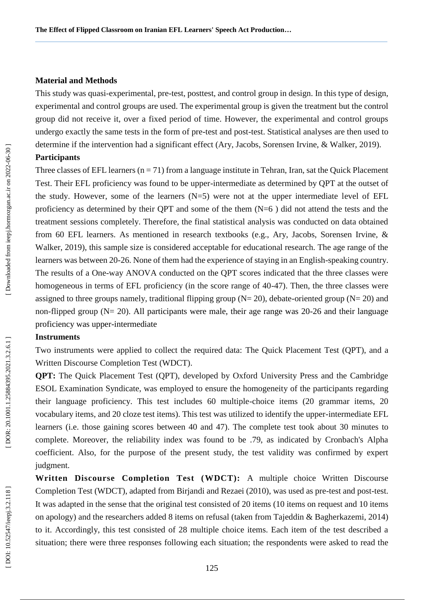#### **Material and Method s**

This study was quasi -experimental, pre -test, posttest, and control group in design. In this type of design, experimental and control groups are used. The experimental group is given the treatment but the control group did not receive it, over a fixed period of time. However, the experimental and control groups undergo exactly the same tests in the form of pre -test and post -test. Statistical analyses are then used to determine if the intervention had a significant effect (Ary, Jacobs, Sorensen Irvine, & Walker, 2019).

#### **Participants**

Three classes of EFL learners  $(n = 71)$  from a language institute in Tehran, Iran, sat the Quick Placement Test. Their EFL proficiency was found to be upper -intermediate as determined by QPT at the outset of the study. However, some of the learners  $(N=5)$  were not at the upper intermediate level of EFL proficiency as determined by their QPT and some of the them  $(N=6)$  did not attend the tests and the treatment sessions completely. Therefore, the final statistical analysis was conducted on data obtained from 60 EFL learners. As mentioned in research textbooks (e.g., Ary, Jacobs, Sorensen Irvine, & Walker, 2019), this sample size is considered acceptable for educational research. The age range of the learners was between 20-26. None of them had the experience of staying in an English-speaking country. The results of a One-way ANOVA conducted on the QPT scores indicated that the three classes were homogeneous in terms of EFL proficiency (in the score range of 40-47). Then, the three classes were assigned to three groups namely, traditional flipping group  $(N=20)$ , debate-oriented group  $(N=20)$  and non-flipped group (N= 20). All participants were male, their age range was 20-26 and their language proficiency was upper -intermediate

## **Instruments**

Two instruments were applied to collect the required data: The Quick Placement Test (QPT), and a Written Discourse Completion Test (WDCT).

**QPT:** The Quick Placement Test (QPT), developed by Oxford University Press and the Cambridge ESOL Examination Syndicate, was employed to ensure the homogeneity of the participants regarding their language proficiency. This test includes 60 multiple -choice items (20 grammar items, 20 vocabulary items, and 20 cloze test items). This test was utilized to identify the upper -intermediate EFL learners (i.e. those gaining scores between 40 and 47). The complete test took about 30 minutes to complete. Moreover, the reliability index was found to be .79, as indicated by Cronbach's Alpha coefficient. Also, for the purpose of the present study, the test validity was confirmed by expert judgment.

Written Discourse Completion Test (WDCT): A multiple choice Written Discourse Completion Test (WDCT), adapted from Birjandi and Rezaei (2010), was used as pre -test and post -test. It was adapted in the sense that the original test consisted of 20 items (10 items on request and 10 items on apology) and the researchers added 8 items on refusal (taken from Tajeddin & Bagherkazemi, 2014) to it. Accordingly, this test consisted of 28 multiple choice items. Each item of the test described a situation; there were three responses following each situation; the respondents were asked to read the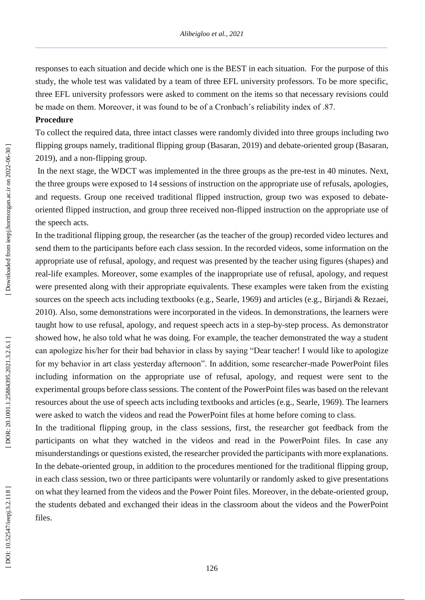responses to each situation and decide which one is the BEST in each situation. For the purpose of this study, the whole test was validated by a team of three EFL university professors. To be more specific, three EFL university professors were asked to comment on the items so that necessary revisions could be made on them. Moreover, it was found to be of a Cronbach's reliability index of .87.

#### **Procedure**

To collect the required data, three intact classes were randomly divided into three groups including two flipping groups namely, traditional flipping group (Basaran, 2019) and debate -oriented group (Basaran, 2019), and a non -flipping group.

In the next stage, the WDCT was implemented in the three groups as the pre -test in 40 minutes. Next, the three groups were exposed to 14 sessions of instruction on the appropriate use of refusals, apologies, and requests. Group one received traditional flipped instruction, group two was exposed to debate oriented flipped instruction, and group three received non -flipped instruction on the appropriate use of the speech acts.

In the traditional flipping group, the researcher (as the teacher of the group) recorded video lectures and send them to the participants before each class session. In the recorded videos, some information on the appropriate use of refusal, apology, and request was presented by the teacher using figures (shapes) and real -life examples. Moreover, some examples of the inappropriate use of refusal, apology, and request were presented along with their appropriate equivalents. These examples were taken from the existing sources on the speech acts including textbooks (e.g., Searle, 1969) and articles (e.g., Birjandi & Rezaei, 2010). Also, some demonstrations were incorporated in the videos. In demonstrations, the learners were taught how to use refusal, apology, and request speech acts in a step -by -step process. As demonstrator showed how, he also told what he was doing. For example, the teacher demonstrated the way a student can apologize his/her for their bad behavior in class by saying "Dear teacher! I would like to apologize for my behavior in art class yesterday afternoon". In addition, some researcher -made PowerPoint files including information on the appropriate use of refusal, apology, and request were sent to the experimental groups before class sessions. The content of the PowerPoint files was based on the relevant resources about the use of speech acts including textbooks and articles (e.g., Searle, 1969). The learners were asked to watch the videos and read the PowerPoint files at home before coming to class.

In the traditional flipping group, in the class sessions, first, the researcher got feedback from the participants on what they watched in the videos and read in the PowerPoint files. In case any misunderstandings or questions existed, the researcher provided the participants with more explanations. In the debate -oriented group, in addition to the procedures mentioned for the traditional flipping group, in each class session, two or three participants were voluntarily or randomly asked to give presentations on what they learned from the videos and the Power Point files. Moreover, in the debate -oriented group, the students debated and exchanged their ideas in the classroom about the videos and the PowerPoint files.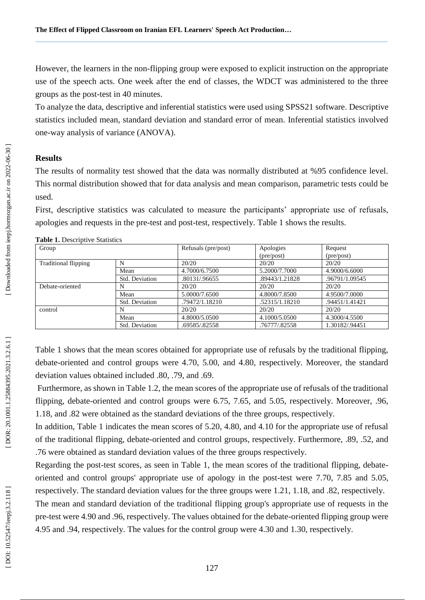However, the learners in the non -flipping group were exposed to explicit instruction on the appropriate use of the speech acts. One week after the end of classes, the WDCT was administered to the three groups as the post -test in 40 minutes.

To analyze the data, descriptive and inferential statistics were used using SPSS21 software . Descriptive statistics included mean, standard deviation and standard error of mean. Inferential statistics involved one -way analysis of variance (ANOVA).

## **Results**

The results of normality test showed that the data was normally distributed at %95 confidence level. This normal distribution showed that for data analysis and mean comparison, parametric tests could be used.

First, descriptive statistics was calculated to measure the participants' appropriate use of refusals, apologies and requests in the pre -test and post -test, respectively. Table 1 shows the results.

| Group                       |                | Refusals (pre/post) | Apologies                  | Request                    |
|-----------------------------|----------------|---------------------|----------------------------|----------------------------|
|                             |                |                     | $(\text{pre}/\text{post})$ | $(\text{pre}/\text{post})$ |
| <b>Traditional flipping</b> | N              | 20/20               | 20/20                      | 20/20                      |
|                             | Mean           | 4.7000/6.7500       | 5.2000/7.7000              | 4.9000/6.6000              |
|                             | Std. Deviation | .80131/.96655       | .89443/1.21828             | .96791/1.09545             |
| Debate-oriented             | N              | 20/20               | 20/20                      | 20/20                      |
|                             | Mean           | 5.0000/7.6500       | 4.8000/7.8500              | 4.9500/7.0000              |
|                             | Std. Deviation | .79472/1.18210      | .52315/1.18210             | .94451/1.41421             |
| control                     | N              | 20/20               | 20/20                      | 20/20                      |
|                             | Mean           | 4.8000/5.0500       | 4.1000/5.0500              | 4.3000/4.5500              |
|                             | Std. Deviation | .69585/.82558       | .76777/.82558              | 1.30182/.94451             |

**Table 1.** Descriptive Statistics

Table 1 shows that the mean scores obtained for appropriate use of refusals by the traditional flipping, debate -oriented and control groups were 4.70, 5.00, and 4.80, respectively. Moreover, the standard deviation values obtained included .80, .79, and .69.

Furthermore, as shown in Table 1.2, the mean scores of the appropriate use of refusals of the traditional flipping, debate -oriented and control groups were 6.75, 7.65, and 5.05, respectively. Moreover, .96, 1.18, and .82 were obtained as the standard deviations of the three groups, respectively.

In addition, Table 1 indicates the mean scores of 5.20, 4.80, and 4.10 for the appropriate use of refusal of the traditional flipping, debate -oriented and control groups, respectively. Furthermore, .89, .52, and .76 were obtained as standard deviation values of the three groups respectively.

Regarding the post-test scores, as seen in Table 1, the mean scores of the traditional flipping, debateoriented and control groups' appropriate use of apology in the post -test were 7.70, 7.85 and 5.05, respectively. The standard deviation values for the three groups were 1.21, 1.18, and .82, respectively.

The mean and standard deviation of the traditional flipping group's appropriate use of requests in the pre -test were 4.90 and .96, respectively. The values obtained for the debate -oriented flipping group were 4.95 and .94, respectively. The values for the control group were 4.30 and 1.30, respectively.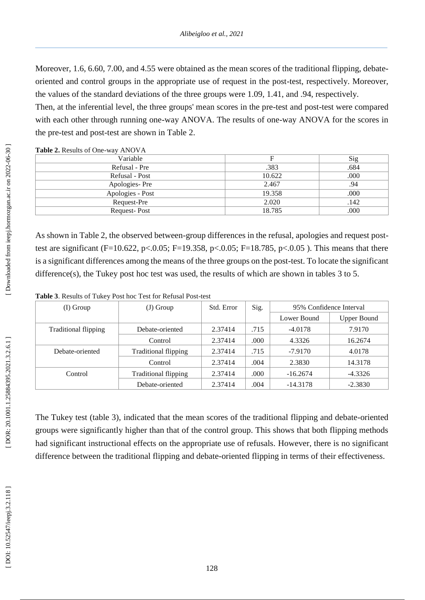Moreover, 1.6, 6.60, 7.00, and 4.55 were obtained as the mean scores of the traditional flipping, debateoriented and control groups in the appropriate use of request in the post -test, respectively. Moreover, the values of the standard deviations of the three groups were 1.09, 1.41, and .94, respectively.

Then, at the inferential level, the three groups' mean scores in the pre -test and post -test were compared with each other through running one-way ANOVA. The results of one-way ANOVA for the scores in the pre -test and post -test are shown in Table 2.

**Table 2.** Results of One -way ANOVA

| Variable         |        | Sig  |
|------------------|--------|------|
| Refusal - Pre    | .383   | .684 |
| Refusal - Post   | 10.622 | .000 |
| Apologies-Pre    | 2.467  | .94  |
| Apologies - Post | 19.358 | .000 |
| Request-Pre      | 2.020  | .142 |
| Request-Post     | 18.785 | .000 |
|                  |        |      |

As shown in Table 2, the observed between -group differences in the refusal, apologies and request post test are significant (F=10.622, p<.0.05; F=19.358, p<.0.05; F=18.785, p<.0.05). This means that there is a significant differences among the means of the three groups on the post -test. To locate the significant difference(s), the Tukey post hoc test was used, the results of which are shown in tables 3 to 5.

| Table 3. Results of Tukey Post hoc Test for Refusal Post-test |
|---------------------------------------------------------------|
|---------------------------------------------------------------|

| (I) Group                   | $(J)$ Group                 | Std. Error | Sig. | 95% Confidence Interval |                    |
|-----------------------------|-----------------------------|------------|------|-------------------------|--------------------|
|                             |                             |            |      | Lower Bound             | <b>Upper Bound</b> |
| <b>Traditional flipping</b> | Debate-oriented             | 2.37414    | .715 | $-4.0178$               | 7.9170             |
|                             | Control                     | 2.37414    | .000 | 4.3326                  | 16.2674            |
| Debate-oriented             | <b>Traditional flipping</b> | 2.37414    | .715 | $-7.9170$               | 4.0178             |
|                             | Control                     | 2.37414    | .004 | 2.3830                  | 14.3178            |
| Control                     | <b>Traditional flipping</b> | 2.37414    | .000 | $-16.2674$              | $-4.3326$          |
|                             | Debate-oriented             | 2.37414    | .004 | $-14.3178$              | $-2.3830$          |

The Tukey test (table 3), indicated that the mean scores of the traditional flipping and debate -oriented groups were significantly higher than that of the control group. This shows that both flipping methods had significant instructional effects on the appropriate use of refusals. However, there is no significant difference between the traditional flipping and debate -oriented flipping in terms of their effectiveness.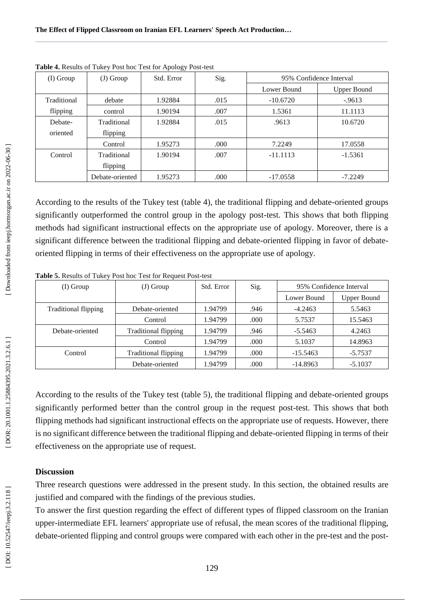| (I) Group   | $(J)$ Group     | Std. Error | Sig. | 95% Confidence Interval |                    |
|-------------|-----------------|------------|------|-------------------------|--------------------|
|             |                 |            |      | Lower Bound             | <b>Upper Bound</b> |
| Traditional | debate          | 1.92884    | .015 | $-10.6720$              | $-9613$            |
| flipping    | control         | 1.90194    | .007 | 1.5361                  | 11.1113            |
| Debate-     | Traditional     | 1.92884    | .015 | .9613                   | 10.6720            |
| oriented    | flipping        |            |      |                         |                    |
|             | Control         | 1.95273    | .000 | 7.2249                  | 17.0558            |
| Control     | Traditional     | 1.90194    | .007 | $-11.1113$              | $-1.5361$          |
|             | flipping        |            |      |                         |                    |
|             | Debate-oriented | 1.95273    | .000 | $-17.0558$              | $-7.2249$          |

**Table 4.** Results of Tukey Post hoc Test for Apology Post -test

According to the results of the Tukey test (table 4), the traditional flipping and debate -oriented groups significantly outperformed the control group in the apology post -test. This shows that both flipping methods had significant instructional effects on the appropriate use of apology. Moreover, there is a significant difference between the traditional flipping and debate-oriented flipping in favor of debateoriented flipping in terms of their effectiveness on the appropriate use of apology.

| (I) Group                   | (J) Group                   | Std. Error | Sig. | 95% Confidence Interval |                    |
|-----------------------------|-----------------------------|------------|------|-------------------------|--------------------|
|                             |                             |            |      | Lower Bound             | <b>Upper Bound</b> |
| <b>Traditional flipping</b> | Debate-oriented             | 1.94799    | .946 | $-4.2463$               | 5.5463             |
|                             | Control                     | 1.94799    | .000 | 5.7537                  | 15.5463            |
| Debate-oriented             | <b>Traditional flipping</b> | 1.94799    | .946 | $-5.5463$               | 4.2463             |
|                             | Control                     | 1.94799    | .000 | 5.1037                  | 14.8963            |
| Control                     | <b>Traditional flipping</b> | 1.94799    | .000 | $-15.5463$              | $-5.7537$          |
|                             | Debate-oriented             | 1.94799    | .000 | $-14.8963$              | $-5.1037$          |

**Table 5.** Results of Tukey Post hoc Test for Request Post -test

According to the results of the Tukey test (table 5), the traditional flipping and debate-oriented groups significantly performed better than the control group in the request post -test. This shows that both flipping methods had significant instructional effects on the appropriate use of requests. However, there is no significant difference between the traditional flipping and debate -oriented flipping in terms of their effectiveness on the appropriate use of request.

## **Discussion**

Three research questions were addressed in the present study. In this section, the obtained results are justified and compared with the findings of the previous studies.

To answer the first question regarding the effect of different types of flipped classroom on the Iranian upper -intermediate EFL learners' appropriate use of refusal, the mean scores of the traditional flipping, debate-oriented flipping and control groups were compared with each other in the pre-test and the post-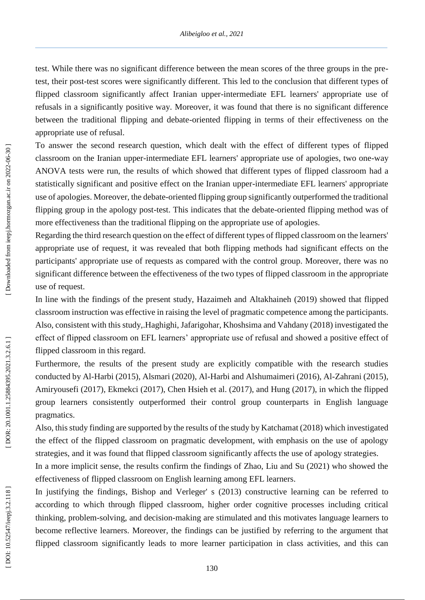test. While there was no significant difference between the mean scores of the three groups in the pre test, their post -test scores were significantly different. This led to the conclusion that different types of flipped classroom significantly affect Iranian upper -intermediate EFL learners' appropriate use of refusals in a significantly positive way. Moreover, it was found that there is no significant difference between the traditional flipping and debate -oriented flipping in terms of their effectiveness on the appropriate use of refusal.

To answer the second research question, which dealt with the effect of different types of flipped classroom on the Iranian upper -intermediate EFL learners' appropriate use of apologies, two one -way ANOVA tests were run, the results of which showed that different types of flipped classroom had a statistically significant and positive effect on the Iranian upper -intermediate EFL learners' appropriate use of apologies. Moreover, the debate -oriented flipping group significantly outperformed the traditional flipping group in the apology post -test. This indicates that the debate -oriented flipping method was of more effectiveness than the traditional flipping on the appropriate use of apologies.

Regarding the third research question on the effect of different types of flipped classroom on the learners' appropriate use of request, it was revealed that both flipping methods had significant effects on the participants' appropriate use of requests as compared with the control group. Moreover, there was no significant difference between the effectiveness of the two types of flipped classroom in the appropriate use of request.

In line with the findings of the present study, Hazaimeh and [Altakhaineh](http://ju-jo.academia.edu/AbdelRahmanMitibAltakhaineh?swp=tc-au-40805157) (2019) showed that flipped classroom instruction was effective in raising the level of pragmatic competence among the participants. Also, consistent with this study,.Haghighi, Jafarigohar, Khoshsima and Vahdany (2018) investigated the effect of flipped classroom on EFL learners' appropriate use of refusal and showed a positive effect of flipped classroom in this regard.

Furthermore, the results of the present study are explicitly compatible with the research studies conducted by Al -Harbi (2015), Alsmari (2020), Al -Harbi and Alshumaimeri (2016), Al -Zahrani (2015), Amiryousefi (2017), Ekmekci (2017), Chen Hsieh et al. (2017), and Hung (2017), in which the flipped group learners consistently outperformed their control group counterparts in English language pragmatics.

Also, this study finding are supported by the results of the study by Katchamat (2018) which investigated the effect of the flipped classroom on pragmatic development, with emphasis on the use of apology strategies, and it was found that flipped classroom significantly affects the use of apology strategies.

In a more implicit sense, the results confirm the findings of Zhao, Liu and Su (2021) who showed the effectiveness of flipped classroom on English learning among EFL learners.

In justifying the findings, Bishop and Verleger' s (2013) constructive learning can be referred to according to which through flipped classroom, higher order cognitive processes including critical thinking, problem -solving, and decision -making are stimulated and this motivates language learners to become reflective learners. Moreover, the findings can be justified by referring to the argument that flipped classroom significantly leads to more learner participation in class activities, and this can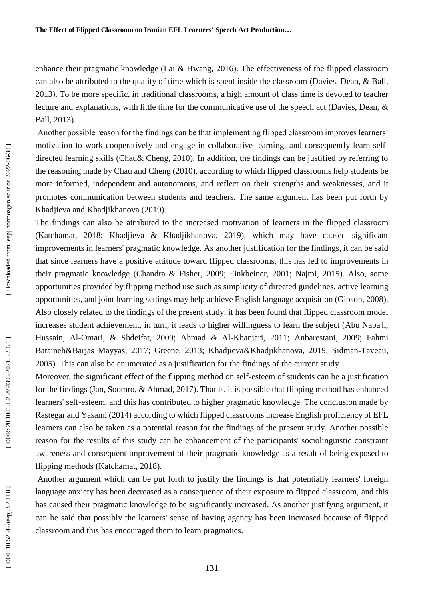enhance their pragmatic knowledge (Lai & Hwang, 2016). The effectiveness of the flipped classroom can also be attributed to the quality of time which is spent inside the classroom (Davies, Dean, & Ball, 2013). To be more specific, in traditional classrooms, a high amount of class time is devoted to teacher lecture and explanations, with little time for the communicative use of the speech act (Davies, Dean, & Ball, 2013).

Another possible reason for the findings can be that implementing flipped classroom improves learners' motivation to work cooperatively and engage in collaborative learning, and consequently learn self directed learning skills (Chau& Cheng, 2010). In addition, the findings can be justified by referring to the reasoning made by Chau and Cheng (2010), according to which flipped classrooms help students be more informed, independent and autonomous, and reflect on their strengths and weaknesses, and it promotes communication between students and teachers. The same argument has been put forth by Khadjieva and Khadjikhanova (2019).

The findings can also be attributed to the increased motivation of learners in the flipped classroom (Katchamat, 2018; Khadjieva & Khadjikhanova, 2019), which may have caused significant improvements in learners' pragmatic knowledge. As another justification for the findings, it can be said that since learners have a positive attitude toward flipped classrooms, this has led to improvements in their pragmatic knowledge (Chandra & Fisher, 2009; Finkbeiner, 2001; Najmi, 2015). Also, some opportunities provided by flipping method use such as simplicity of directed guidelines, active learning opportunities, and joint learning settings may help achieve English language acquisition (Gibson, 2008). Also closely related to the findings of the present study, it has been found that flipped classroom model increases student achievement, in turn, it leads to higher willingness to learn the subject (Abu Naba'h, Hussain, Al -Omari, & Shdeifat, 2009; Ahmad & Al -Khanjari, 2011; Anbarestani, 2009; Fahmi Bataineh&Barjas Mayyas, 2017; Greene, 2013; Khadjieva&Khadjikhanova, 2019; Sidman -Taveau, 2005). This can also be enumerated as a justification for the findings of the current study.

Moreover, the significant effect of the flipping method on self -esteem of students can be a justification for the findings (Jan, Soomro, & Ahmad, 2017). That is, it is possible that flipping method has enhanced learners' self -esteem, and this has contributed to higher pragmatic knowledge. The conclusion made by Rastegar and Yasami (2014) according to which flipped classrooms increase English proficiency of EFL learners can also be taken as a potential reason for the findings of the present study. Another possible reason for the results of this study can be enhancement of the participants' sociolinguistic constraint awareness and consequent improvement of their pragmatic knowledge as a result of being exposed to flipping methods (Katchamat, 2018).

Another argument which can be put forth to justify the findings is that potentially learners' foreign language anxiety has been decreased as a consequence of their exposure to flipped classroom, and this has caused their pragmatic knowledge to be significantly increased. As another justifying argument, it can be said that possibly the learners' sense of having agency has been increased because of flipped classroom and this has encouraged them to learn pragmatics.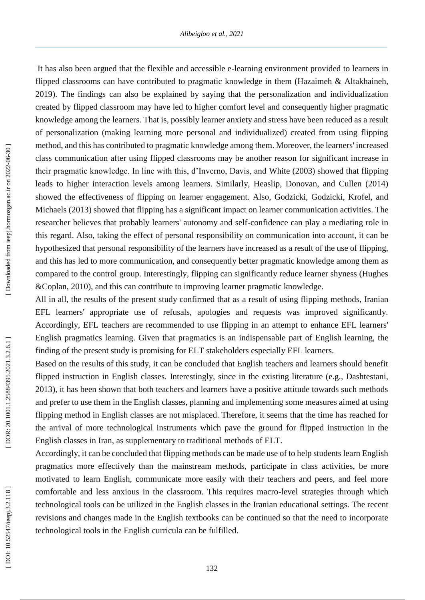It has also been argued that the flexible and accessible e -learning environment provided to learners in flipped classrooms can have contributed to pragmatic knowledge in them (Hazaimeh & [Altakhaineh,](http://ju-jo.academia.edu/AbdelRahmanMitibAltakhaineh?swp=tc-au-40805157) 2019). The findings can also be explained by saying that the personalization and individualization created by flipped classroom may have led to higher comfort level and consequently higher pragmatic knowledge among the learners. That is, possibly learner anxiety and stress have been reduced as a result of personalization (making learning more personal and individualized) created from using flipping method, and this has contributed to pragmatic knowledge among them. Moreover, the learners' increased class communication after using flipped classrooms may be another reason for significant increase in their pragmatic knowledge. In line with this, d'Inverno, Davis, and White (2003) showed that flipping leads to higher interaction levels among learners. Similarly, Heaslip, Donovan, and Cullen (2014) showed the effectiveness of flipping on learner engagement. Also, Godzicki, Godzicki, Krofel, and Michaels (2013) showed that flipping has a significant impact on learner communication activities. The researcher believes that probably learners' autonomy and self -confidence can play a mediating role in this regard. Also, taking the effect of personal responsibility on communication into account, it can be hypothesized that personal responsibility of the learners have increased as a result of the use of flipping, and this has led to more communication, and consequently better pragmatic knowledge among them as compared to the control group. Interestingly, flipping can significantly reduce learner shyness (Hughes &Coplan, 2010), and this can contribute to improving learner pragmatic knowledge.

All in all, the results of the present study confirmed that as a result of using flipping methods, Iranian EFL learners' appropriate use of refusals, apologies and requests was improved significantly. Accordingly, EFL teachers are recommended to use flipping in an attempt to enhance EFL learners' English pragmatics learning. Given that pragmatics is an indispensable part of English learning, the finding of the present study is promising for ELT stakeholders especially EFL learners.

Based on the results of this study, it can be concluded that English teachers and learners should benefit flipped instruction in English classes. Interestingly, since in the existing literature (e.g., Dashtestani, 2013), it has been shown that both teachers and learners have a positive attitude towards such methods and prefer to use them in the English classes, planning and implementing some measures aimed at using flipping method in English classes are not misplaced. Therefore, it seems that the time has reached for the arrival of more technological instruments which pave the ground for flipped instruction in the English classes in Iran, as supplementary to traditional methods of ELT.

Accordingly, it can be concluded that flipping methods can be made use of to help students learn English pragmatics more effectively than the mainstream methods, participate in class activities, be more motivated to learn English, communicate more easily with their teachers and peers, and feel more comfortable and less anxious in the classroom. This requires macro -level strategies through which technological tools can be utilized in the English classes in the Iranian educational settings. The recent revisions and changes made in the English textbooks can be continued so that the need to incorporate technological tools in the English curricula can be fulfilled.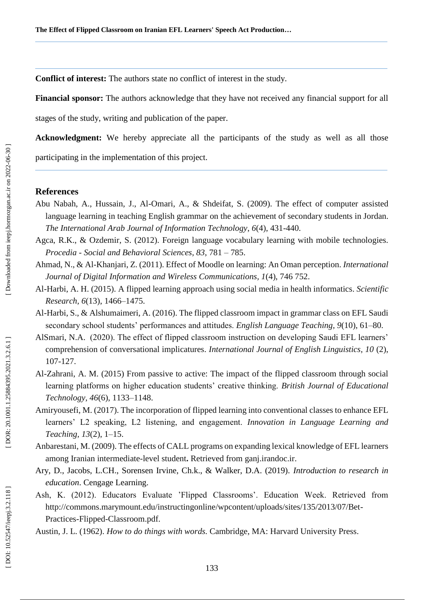**Conflict of interest:** The authors state no conflict of interest in the study.

**Financial sponsor:** The authors acknowledge that they have not received any financial support for all

stages of the study, writing and publication of the paper.

**Acknowledgment:** We hereby appreciate all the participants of the study as well as all those

participating in the implementation of this project.

## **References**

- Abu Nabah, A., Hussain, J., Al -Omari, A., & Shdeifat, S. (2009). The effect of computer assisted language learning in teaching English grammar on the achievement of secondary students in Jordan. *The International Arab Journal of Information Technology*, *6*(4), 431 -440.
- Agca, R.K., & Ozdemir, S. (2012). Foreign language vocabulary learning with mobile technologies. *Procedia - Social and Behavioral Sciences, 83*, 781 – 785.
- Ahmad, N., & Al -Khanjari, Z. (2011). Effect of Moodle on learning: An Oman perception. *International Journal of Digital Information and Wireless Communications, 1*(4), 746 752.
- Al -Harbi, A. H. (2015). A flipped learning approach using social media in health informatics. *Scientific Research, 6*(13), 1466 –1475.
- Al -Harbi, S., & Alshumaimeri, A. (2016). The flipped classroom impact in grammar class on EFL Saudi secondary school students' performances and attitudes. *English Language Teaching, 9*(10), 61 –80.
- AlSmari, N.A. (2020). The effect of flipped classroom instruction on developing Saudi EFL learners' comprehension of conversational implicatures. *International Journal of English Linguistics, 10* (2), 107 -127.
- Al -Zahrani, A. M. (2015) From passive to active: The impact of the flipped classroom through social learning platforms on higher education students' creative thinking. *British Journal of Educational Technology, 46*(6), 1133 –1148.
- Amiryousefi, M. (2017). The incorporation of flipped learning into conventional classes to enhance EFL learners' L2 speaking, L2 listening, and engagement. *Innovation in Language Learning and Teaching, 13*(2), 1 –15.
- Anbarestani, M. (2009). The effects of CALL programs on expanding lexical knowledge of EFL learners among Iranian intermediate -level student**.** Retrieved from ganj.irandoc.ir.
- Ary, D., Jacobs, L.CH., Sorensen Irvine, Ch.k., & Walker, D.A. (2019). *Introduction to research in education*. Cengage Learning.
- Ash, K. (2012). Educators Evaluate 'Flipped Classrooms'. Education Week. Retrieved from http://commons.marymount.edu/instructingonline/wpcontent/uploads/sites/135/2013/07/Bet - Practices -Flipped -Classroom.pdf.
- Austin, J. L. (1962). *How to do things with words.* Cambridge, MA: Harvard University Press.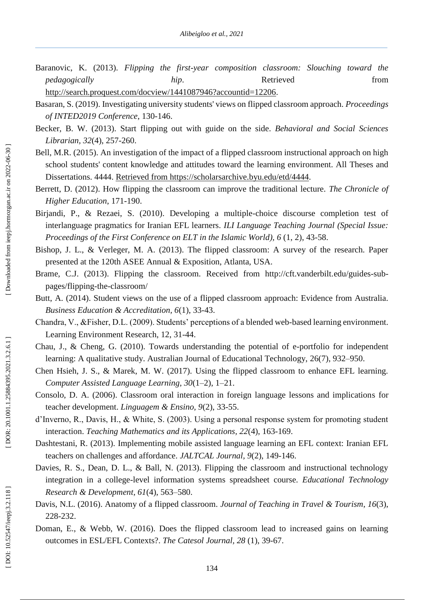- Baranovic, K. (2013). *Flipping the first-year composition classroom: Slouching toward the pedagogically hip*. *hip*. Retrieved from <http://search.proquest.com/docview/1441087946?accountid=12206>.
- Basaran, S. (2019). Investigating university students' views on flipped classroom approach. *Proceedings of INTED2019 Conference*, 130 -146.
- Becker, B. W. (2013). Start flipping out with guide on the side. *Behavioral and Social Sciences Librarian, 32*(4), 257 -260.
- Bell, M.R. (2015). An investigation of the impact of a flipped classroom instructional approach on high school students' content knowledge and attitudes toward the learning environment. All Theses and Dissertations. 4444. [Retrieved from https://scholarsarchive.byu.edu/etd/4444](file:///C:/Users/mcf/AppData/Local/AppData/Local/AppData/Local/AppData/Local/Temp/Retrieved%20from%20https:/scholarsarchive.byu.edu/etd/4444).
- Berrett, D. (2012). How flipping the classroom can improve the traditional lecture. *The Chronicle of Higher Education*, 171 -190.
- Birjandi, P., & Rezaei, S. (2010). Developing a multiple -choice discourse completion test of interlanguage pragmatics for Iranian EFL learners. *ILI Language Teaching Journal (Special Issue:*  Proceedings of the First Conference on ELT in the Islamic World), 6 (1, 2), 43-58.
- Bishop, J. L., & Verleger, M. A. (2013). The flipped classroom: A survey of the research. Paper presented at the 120th ASEE Annual & Exposition, Atlanta, USA.
- Brame, C.J. (2013). Flipping the classroom. Received from http://cft.vanderbilt.edu/guides-subpages/flipping -the -classroom/
- Butt, A. (2014). Student views on the use of a flipped classroom approach: Evidence from Australia. *Business Education & Accreditation, 6*(1), 33 -43.
- Chandra, V., &Fisher, D.L. (2009). Students' perceptions of a blended web -based learning environment. Learning Environment Research, 12, 31 -44.
- Chau, J., & Cheng, G. (2010). Towards understanding the potential of e -portfolio for independent learning: A qualitative study. Australian Journal of Educational Technology, 26(7), 932-950.
- Chen Hsieh, J. S., & Marek, M. W. (2017). Using the flipped classroom to enhance EFL learning. Computer Assisted Language Learning, 30(1-2), 1-21.
- Consolo, D. A. (2006). Classroom oral interaction in foreign language lessons and implications for teacher development. *Linguagem & Ensino, 9*(2), 33 -55.
- d'Inverno, R., Davis, H., & White, S. (2003). Using a personal response system for promoting student interaction. *Teaching Mathematics and its Applications, 22*(4), 163 -169.
- Dashtestani, R. (2013). Implementing mobile assisted language learning an EFL context: Iranian EFL teachers on challenges and affordance. *JALTCAL Journal, 9*(2), 149 -146.
- Davies, R. S., Dean, D. L., & Ball, N. (2013). Flipping the classroom and instructional technology integration in a college -level information systems spreadsheet course. *Educational Technology Research & Development, 61*(4), 563 –580.
- Davis, N.L. (2016). Anatomy of a flipped classroom. *Journal of Teaching in Travel & Tourism*, *16*(3), 228 -232.
- Doman, E., & Webb, W. (2016). Does the flipped classroom lead to increased gains on learning outcomes in ESL/EFL Contexts?. The Catesol Journal, 28 (1), 39-67.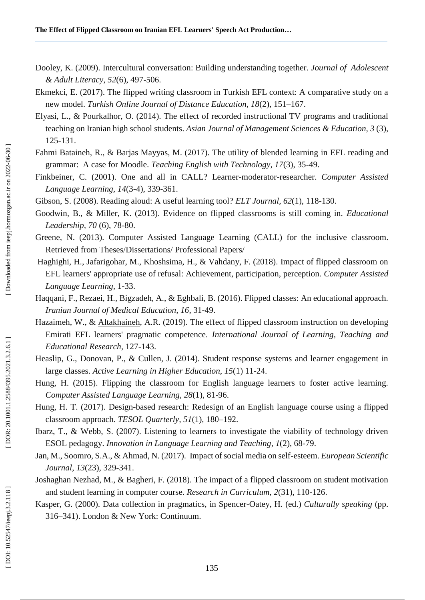- Dooley, K. (2009). Intercultural conversation: Building understanding together. *Journal of Adolescent & Adult Literacy, 52*(6), 497 -506.
- Ekmekci, E. (2017). The flipped writing classroom in Turkish EFL context: A comparative study on a new model. *Turkish Online Journal of Distance Education, 18*(2), 151 –167.
- Elyasi, L., & Pourkalhor, O. (2014). The effect of recorded instructional TV programs and traditional teaching on Iranian high school students. *Asian Journal of Management Sciences & Education, 3* (3), 125 -131.
- Fahmi Bataineh, R., & Barjas Mayyas, M. (2017). The utility of blended learning in EFL reading and grammar: A case for Moodle. *Teaching English with Technology, 17*(3), 35 -49.
- Finkbeiner, C. (2001). One and all in CALL? Learner-moderator-researcher. Computer Assisted *Language Learning, 14*(3 -4), 339 -361.
- Gibson, S. (2008). Reading aloud: A useful learning tool? *ELT Journal, 62*(1), 118 -130.
- Goodwin, B., & Miller, K. (2013). Evidence on flipped classrooms is still coming in. *Educational Leadership, 70* (6), 78 -80.
- Greene, N. (2013). Computer Assisted Language Learning (CALL) for the inclusive classroom. Retrieved from Theses/Dissertations/ Professional Papers/
- Haghighi, H., Jafarigohar, M., Khoshsima, H., & Vahdany, F. (2018). Impact of flipped classroom on EFL learners' appropriate use of refusal: Achievement, participation, perception. *Computer Assisted Language Learning*, 1 -33.
- Haqqani, F., Rezaei, H., Bigzadeh, A., & Eghbali, B. (2016). Flipped classes: An educational approach. *Iranian Journal of Medical Education, 16*, 31 -49.
- Hazaimeh, W., & [Altakhaineh,](http://ju-jo.academia.edu/AbdelRahmanMitibAltakhaineh?swp=tc-au-40805157) A.R. (2019). The effect of flipped classroom instruction on developing Emirati EFL learners' pragmatic competence. *International Journal of Learning, Teaching and Educational Research*, 127 -143.
- Heaslip, G., Donovan, P., & Cullen, J. (2014). Student response systems and learner engagement in large classes. *Active Learning in Higher Education, 15*(1) 11 -24.
- Hung, H. (2015). Flipping the classroom for English language learners to foster active learning. *Computer Assisted Language Learning*, *28*(1), 81-96.
- Hung, H. T. (2017). Design -based research: Redesign of an English language course using a flipped classroom approach. *TESOL Quarterly, 51*(1), 180 –192.
- Ibarz, T., & Webb, S. (2007). Listening to learners to investigate the viability of technology driven ESOL pedagogy. *Innovation in Language Learning and Teaching, 1*(2), 68 -79.
- Jan, M., Soomro, S.A., & Ahmad, N. (2017). Impact of social media on self -esteem. *[European Scientific](https://www.researchgate.net/journal/1857-7881_European_Scientific_Journal)  [Journal, 1](https://www.researchgate.net/journal/1857-7881_European_Scientific_Journal)3*(23), 329 -341.
- Joshaghan Nezhad, M., & Bagheri, F. (2018). The impact of a flipped classroom on student motivation and student learning in computer course. *Research in Curriculum, 2*(31), 110 -126.
- Kasper, G. (2000). Data collection in pragmatics, in Spencer -Oatey, H. (ed.) *Culturally speaking* (pp. 316 –341). London & New York: Continuum.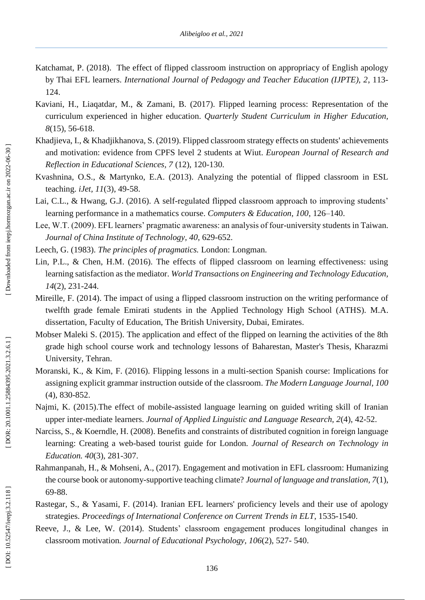- Katchamat, P. (2018). The effect of flipped classroom instruction on appropriacy of English apology by Thai EFL learners. *International Journal of Pedagogy and Teacher Education (IJPTE), 2*, 113 - 124.
- Kaviani, H., Liaqatdar, M., & Zamani, B. (2017). Flipped learning process: Representation of the curriculum experienced in higher education. *Quarterly Student Curriculum in Higher Education, 8*(15), 56-618.
- Khadjieva, I., & Khadjikhanova, S. (2019). Flipped classroom strategy effects on students' achievements and motivation: evidence from CPFS level 2 students at Wiut. *European Journal of Research and Reflection in Educational Sciences, 7* (12), 120 -130.
- Kvashnina, O.S., & Martynko, E.A. (2013). Analyzing the potential of flipped classroom in ESL teaching. *iJet, 11*(3), 49 -58.
- Lai, C.L., & Hwang, G.J. (2016). A self-regulated flipped classroom approach to improving students' learning performance in a mathematics course. *Computers & Education, 100*, 126 –140.
- Lee, W.T. (2009). EFL learners' pragmatic awareness: an analysis of four-university students in Taiwan. *Journal of China Institute of Technology, 40*, 629 -652.
- Leech, G. (1983). *The principles of pragmatics.* London: Longman.
- Lin, P.L., & Chen, H.M. (2016). The effects of flipped classroom on learning effectiveness: using learning satisfaction as the mediator. *World Transactions on Engineering and Technology Education, 14*(2), 231 -244.
- Mireille, F. (2014). The impact of using a flipped classroom instruction on the writing performance of twelfth grade female Emirati students in the Applied Technology High School (ATHS). M.A. dissertation, Faculty of Education, The British University, Dubai, Emirates.
- Mobser Maleki S. (2015). The application and effect of the flipped on learning the activities of the 8th grade high school course work and technology lessons of Baharestan, Master's Thesis, Kharazmi University, Tehran.
- Moranski, K., & Kim, F. (2016). Flipping lessons in a multi -section Spanish course: Implications for assigning explicit grammar instruction outside of the classroom. *The Modern Language Journal, 100* (4), 830 -852.
- Najmi, K. (2015).The effect of mobile -assisted language learning on guided writing skill of Iranian upper inter -mediate learners. *Journal of Applied Linguistic and Language Research, 2*(4), 42 -52.
- Narciss, S., & Koerndle, H. (2008). Benefits and constraints of distributed cognition in foreign language learning: Creating a web -based tourist guide for London*. Journal of Research on Technology in Education. 40*(3), 281 -307.
- Rahmanpanah, H., & Mohseni, A., (2017). Engagement and motivation in EFL classroom: Humanizing the course book or autonomy -supportive teaching climate? *Journal of language and translation, 7*(1), 69 -88.
- Rastegar, S., & Yasami, F. (2014). Iranian EFL learners' proficiency levels and their use of apology strategies. *Proceedings of International Conference on Current Trends in ELT*, 1535 -1540.
- Reeve, J., & Lee, W. (2014). Students' classroom engagement produces longitudinal changes in classroom motivation*. Journal of Educational Psychology, 106*(2), 527 - 540.